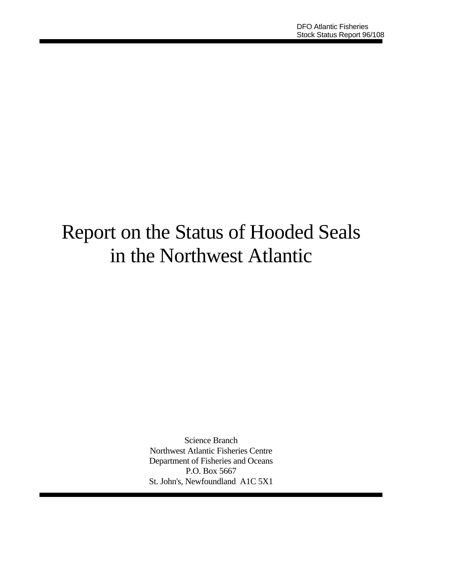# Report on the Status of Hooded Seals in the Northwest Atlantic

Science Branch Northwest Atlantic Fisheries Centre Department of Fisheries and Oceans P.O. Box 5667 St. John's, Newfoundland A1C 5X1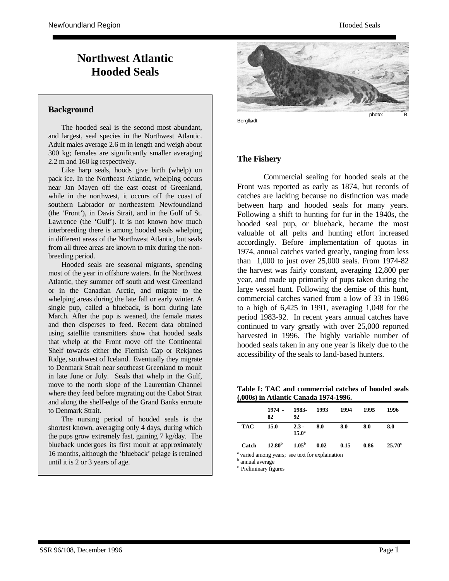## **Northwest Atlantic Hooded Seals**

#### **Background**

 The hooded seal is the second most abundant, and largest, seal species in the Northwest Atlantic. Adult males average 2.6 m in length and weigh about 300 kg; females are significantly smaller averaging 2.2 m and 160 kg respectively.

 Like harp seals, hoods give birth (whelp) on pack ice. In the Northeast Atlantic, whelping occurs near Jan Mayen off the east coast of Greenland, while in the northwest, it occurs off the coast of southern Labrador or northeastern Newfoundland (the 'Front'), in Davis Strait, and in the Gulf of St. Lawrence (the 'Gulf'). It is not known how much interbreeding there is among hooded seals whelping in different areas of the Northwest Atlantic, but seals from all three areas are known to mix during the nonbreeding period.

 Hooded seals are seasonal migrants, spending most of the year in offshore waters. In the Northwest Atlantic, they summer off south and west Greenland or in the Canadian Arctic, and migrate to the whelping areas during the late fall or early winter. A single pup, called a blueback, is born during late March. After the pup is weaned, the female mates and then disperses to feed. Recent data obtained using satellite transmitters show that hooded seals that whelp at the Front move off the Continental Shelf towards either the Flemish Cap or Rekjanes Ridge, southwest of Iceland. Eventually they migrate to Denmark Strait near southeast Greenland to moult in late June or July. Seals that whelp in the Gulf, move to the north slope of the Laurentian Channel where they feed before migrating out the Cabot Strait and along the shelf-edge of the Grand Banks enroute to Denmark Strait.

 The nursing period of hooded seals is the shortest known, averaging only 4 days, during which the pups grow extremely fast, gaining 7 kg/day. The blueback undergoes its first moult at approximately 16 months, although the 'blueback' pelage is retained until it is 2 or 3 years of age.



Bergflødt

#### **The Fishery**

 Commercial sealing for hooded seals at the Front was reported as early as 1874, but records of catches are lacking because no distinction was made between harp and hooded seals for many years. Following a shift to hunting for fur in the 1940s, the hooded seal pup, or blueback, became the most valuable of all pelts and hunting effort increased accordingly. Before implementation of quotas in 1974, annual catches varied greatly, ranging from less than 1,000 to just over 25,000 seals. From 1974-82 the harvest was fairly constant, averaging 12,800 per year, and made up primarily of pups taken during the large vessel hunt. Following the demise of this hunt, commercial catches varied from a low of 33 in 1986 to a high of 6,425 in 1991, averaging 1,048 for the period 1983-92. In recent years annual catches have continued to vary greatly with over 25,000 reported harvested in 1996. The highly variable number of hooded seals taken in any one year is likely due to the accessibility of the seals to land-based hunters.

**Table I: TAC and commercial catches of hooded seals (,000s) in Atlantic Canada 1974-1996.**

|            | 1974 -<br>82       | 1983-<br>92                  | 1993 | 1994 | 1995 | 1996            |
|------------|--------------------|------------------------------|------|------|------|-----------------|
| <b>TAC</b> | 15.0               | $2.3 -$<br>15.0 <sup>a</sup> | 8.0  | 8.0  | 8.0  | 8.0             |
| Catch      | 12.80 <sup>b</sup> | $1.05^{\rm b}$               | 0.02 | 0.15 | 0.86 | $25.70^{\circ}$ |

<sup>a</sup> varied among years; see text for explaination

**b** annual average

c Preliminary figures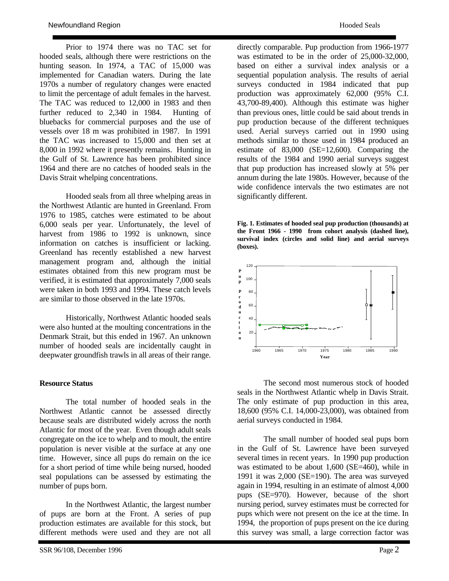Prior to 1974 there was no TAC set for hooded seals, although there were restrictions on the hunting season. In 1974, a TAC of 15,000 was implemented for Canadian waters. During the late 1970s a number of regulatory changes were enacted to limit the percentage of adult females in the harvest. The TAC was reduced to 12,000 in 1983 and then further reduced to 2,340 in 1984. Hunting of bluebacks for commercial purposes and the use of vessels over 18 m was prohibited in 1987. In 1991 the TAC was increased to 15,000 and then set at 8,000 in 1992 where it presently remains. Hunting in the Gulf of St. Lawrence has been prohibited since 1964 and there are no catches of hooded seals in the Davis Strait whelping concentrations.

 Hooded seals from all three whelping areas in the Northwest Atlantic are hunted in Greenland. From 1976 to 1985, catches were estimated to be about 6,000 seals per year. Unfortunately, the level of harvest from 1986 to 1992 is unknown, since information on catches is insufficient or lacking. Greenland has recently established a new harvest management program and, although the initial estimates obtained from this new program must be verified, it is estimated that approximately 7,000 seals were taken in both 1993 and 1994. These catch levels are similar to those observed in the late 1970s.

 Historically, Northwest Atlantic hooded seals were also hunted at the moulting concentrations in the Denmark Strait, but this ended in 1967. An unknown number of hooded seals are incidentally caught in deepwater groundfish trawls in all areas of their range.

### **Resource Status**

 The total number of hooded seals in the Northwest Atlantic cannot be assessed directly because seals are distributed widely across the north Atlantic for most of the year. Even though adult seals congregate on the ice to whelp and to moult, the entire population is never visible at the surface at any one time. However, since all pups do remain on the ice for a short period of time while being nursed, hooded seal populations can be assessed by estimating the number of pups born.

 In the Northwest Atlantic, the largest number of pups are born at the Front. A series of pup production estimates are available for this stock, but different methods were used and they are not all

directly comparable. Pup production from 1966-1977 was estimated to be in the order of 25,000-32,000, based on either a survival index analysis or a sequential population analysis. The results of aerial surveys conducted in 1984 indicated that pup production was approximately 62,000 (95% C.I. 43,700-89,400). Although this estimate was higher than previous ones, little could be said about trends in pup production because of the different techniques used. Aerial surveys carried out in 1990 using methods similar to those used in 1984 produced an estimate of 83,000 (SE=12,600). Comparing the results of the 1984 and 1990 aerial surveys suggest that pup production has increased slowly at 5% per annum during the late 1980s. However, because of the wide confidence intervals the two estimates are not significantly different.

**Fig. 1. Estimates of hooded seal pup production (thousands) at the Front 1966 - 1990 from cohort analysis (dashed line), survival index (circles and solid line) and aerial surveys (boxes).** 



 The second most numerous stock of hooded seals in the Northwest Atlantic whelp in Davis Strait. The only estimate of pup production in this area, 18,600 (95% C.I. 14,000-23,000), was obtained from aerial surveys conducted in 1984.

 The small number of hooded seal pups born in the Gulf of St. Lawrence have been surveyed several times in recent years. In 1990 pup production was estimated to be about 1,600 (SE=460), while in 1991 it was 2,000 (SE=190). The area was surveyed again in 1994, resulting in an estimate of almost 4,000 pups (SE=970). However, because of the short nursing period, survey estimates must be corrected for pups which were not present on the ice at the time. In 1994, the proportion of pups present on the ice during this survey was small, a large correction factor was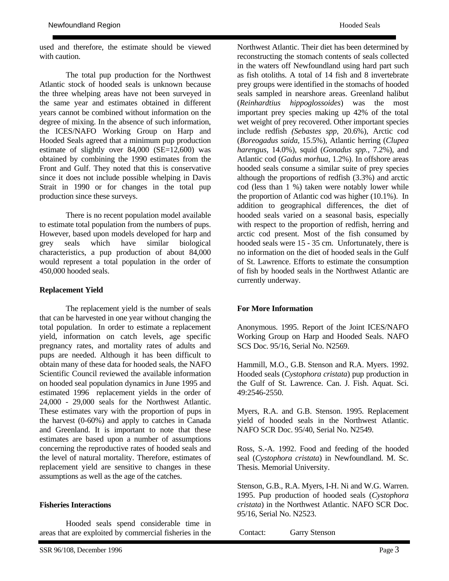used and therefore, the estimate should be viewed with caution.

 The total pup production for the Northwest Atlantic stock of hooded seals is unknown because the three whelping areas have not been surveyed in the same year and estimates obtained in different years cannot be combined without information on the degree of mixing. In the absence of such information, the ICES/NAFO Working Group on Harp and Hooded Seals agreed that a minimum pup production estimate of slightly over 84,000 (SE=12,600) was obtained by combining the 1990 estimates from the Front and Gulf. They noted that this is conservative since it does not include possible whelping in Davis Strait in 1990 or for changes in the total pup production since these surveys.

 There is no recent population model available to estimate total population from the numbers of pups. However, based upon models developed for harp and grey seals which have similar biological characteristics, a pup production of about 84,000 would represent a total population in the order of 450,000 hooded seals.

#### **Replacement Yield**

 The replacement yield is the number of seals that can be harvested in one year without changing the total population. In order to estimate a replacement yield, information on catch levels, age specific pregnancy rates, and mortality rates of adults and pups are needed. Although it has been difficult to obtain many of these data for hooded seals, the NAFO Scientific Council reviewed the available information on hooded seal population dynamics in June 1995 and estimated 1996 replacement yields in the order of 24,000 - 29,000 seals for the Northwest Atlantic. These estimates vary with the proportion of pups in the harvest (0-60%) and apply to catches in Canada and Greenland. It is important to note that these estimates are based upon a number of assumptions concerning the reproductive rates of hooded seals and the level of natural mortality. Therefore, estimates of replacement yield are sensitive to changes in these assumptions as well as the age of the catches.

#### **Fisheries Interactions**

 Hooded seals spend considerable time in areas that are exploited by commercial fisheries in the

Northwest Atlantic. Their diet has been determined by reconstructing the stomach contents of seals collected in the waters off Newfoundland using hard part such as fish otoliths. A total of 14 fish and 8 invertebrate prey groups were identified in the stomachs of hooded seals sampled in nearshore areas. Greenland halibut (*Reinhardtius hippoglossoides*) was the most important prey species making up 42% of the total wet weight of prey recovered. Other important species include redfish *(Sebastes spp,* 20.6%), Arctic cod (*Boreogadus saida,* 15.5%), Atlantic herring (*Clupea harengus,* 14.0%), squid (*Gonadus spp.,* 7.2%), and Atlantic cod (*Gadus morhua,* 1.2%). In offshore areas hooded seals consume a similar suite of prey species although the proportions of redfish (3.3%) and arctic cod (less than 1 %) taken were notably lower while the proportion of Atlantic cod was higher (10.1%). In addition to geographical differences, the diet of hooded seals varied on a seasonal basis, especially with respect to the proportion of redfish, herring and arctic cod present. Most of the fish consumed by hooded seals were 15 - 35 cm. Unfortunately, there is no information on the diet of hooded seals in the Gulf of St. Lawrence. Efforts to estimate the consumption of fish by hooded seals in the Northwest Atlantic are currently underway.

#### **For More Information**

Anonymous. 1995. Report of the Joint ICES/NAFO Working Group on Harp and Hooded Seals. NAFO SCS Doc. 95/16, Serial No. N2569.

Hammill, M.O., G.B. Stenson and R.A. Myers. 1992. Hooded seals (*Cystophora cristata*) pup production in the Gulf of St. Lawrence. Can. J. Fish. Aquat. Sci. 49:2546-2550.

Myers, R.A. and G.B. Stenson. 1995. Replacement yield of hooded seals in the Northwest Atlantic. NAFO SCR Doc. 95/40, Serial No. N2549.

Ross, S.-A. 1992. Food and feeding of the hooded seal (*Cystophora cristata*) in Newfoundland. M. Sc. Thesis. Memorial University.

Stenson, G.B., R.A. Myers, I-H. Ni and W.G. Warren. 1995. Pup production of hooded seals (*Cystophora cristata*) in the Northwest Atlantic. NAFO SCR Doc. 95/16, Serial No. N2523.

Contact: Garry Stenson